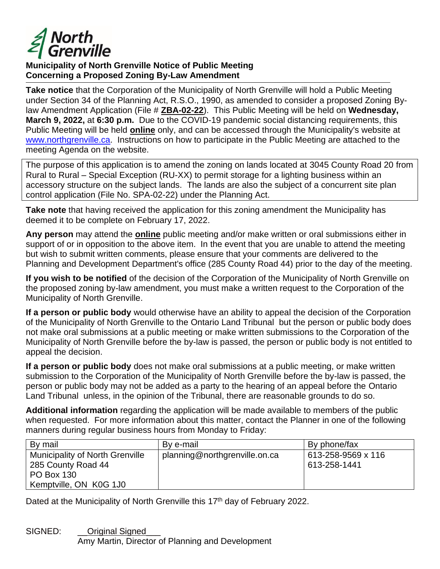

## **Municipality of North Grenville Notice of Public Meeting Concerning a Proposed Zoning By-Law Amendment**

**Take notice** that the Corporation of the Municipality of North Grenville will hold a Public Meeting under Section 34 of the Planning Act, R.S.O., 1990, as amended to consider a proposed Zoning Bylaw Amendment Application (File # **ZBA-02-22**). This Public Meeting will be held on **Wednesday, March 9, 2022,** at **6:30 p.m.** Due to the COVID-19 pandemic social distancing requirements, this Public Meeting will be held **online** only, and can be accessed through the Municipality's website at [www.northgrenville.ca.](http://www.northgrenville.ca/) Instructions on how to participate in the Public Meeting are attached to the meeting Agenda on the website.

The purpose of this application is to amend the zoning on lands located at 3045 County Road 20 from Rural to Rural – Special Exception (RU-XX) to permit storage for a lighting business within an accessory structure on the subject lands. The lands are also the subject of a concurrent site plan control application (File No. SPA-02-22) under the Planning Act.

**Take note** that having received the application for this zoning amendment the Municipality has deemed it to be complete on February 17, 2022.

**Any person** may attend the **online** public meeting and/or make written or oral submissions either in support of or in opposition to the above item. In the event that you are unable to attend the meeting but wish to submit written comments, please ensure that your comments are delivered to the Planning and Development Department's office (285 County Road 44) prior to the day of the meeting.

**If you wish to be notified** of the decision of the Corporation of the Municipality of North Grenville on the proposed zoning by-law amendment, you must make a written request to the Corporation of the Municipality of North Grenville.

**If a person or public body** would otherwise have an ability to appeal the decision of the Corporation of the Municipality of North Grenville to the Ontario Land Tribunal but the person or public body does not make oral submissions at a public meeting or make written submissions to the Corporation of the Municipality of North Grenville before the by-law is passed, the person or public body is not entitled to appeal the decision.

**If a person or public body** does not make oral submissions at a public meeting, or make written submission to the Corporation of the Municipality of North Grenville before the by-law is passed, the person or public body may not be added as a party to the hearing of an appeal before the Ontario Land Tribunal unless, in the opinion of the Tribunal, there are reasonable grounds to do so.

**Additional information** regarding the application will be made available to members of the public when requested. For more information about this matter, contact the Planner in one of the following manners during regular business hours from Monday to Friday:

| By mail                                                                                                     | By e-mail                     | By phone/fax                       |
|-------------------------------------------------------------------------------------------------------------|-------------------------------|------------------------------------|
| <b>Municipality of North Grenville</b><br>285 County Road 44<br><b>PO Box 130</b><br>Kemptville, ON K0G 1J0 | planning@northgrenville.on.ca | 613-258-9569 x 116<br>613-258-1441 |

Dated at the Municipality of North Grenville this 17<sup>th</sup> day of February 2022.